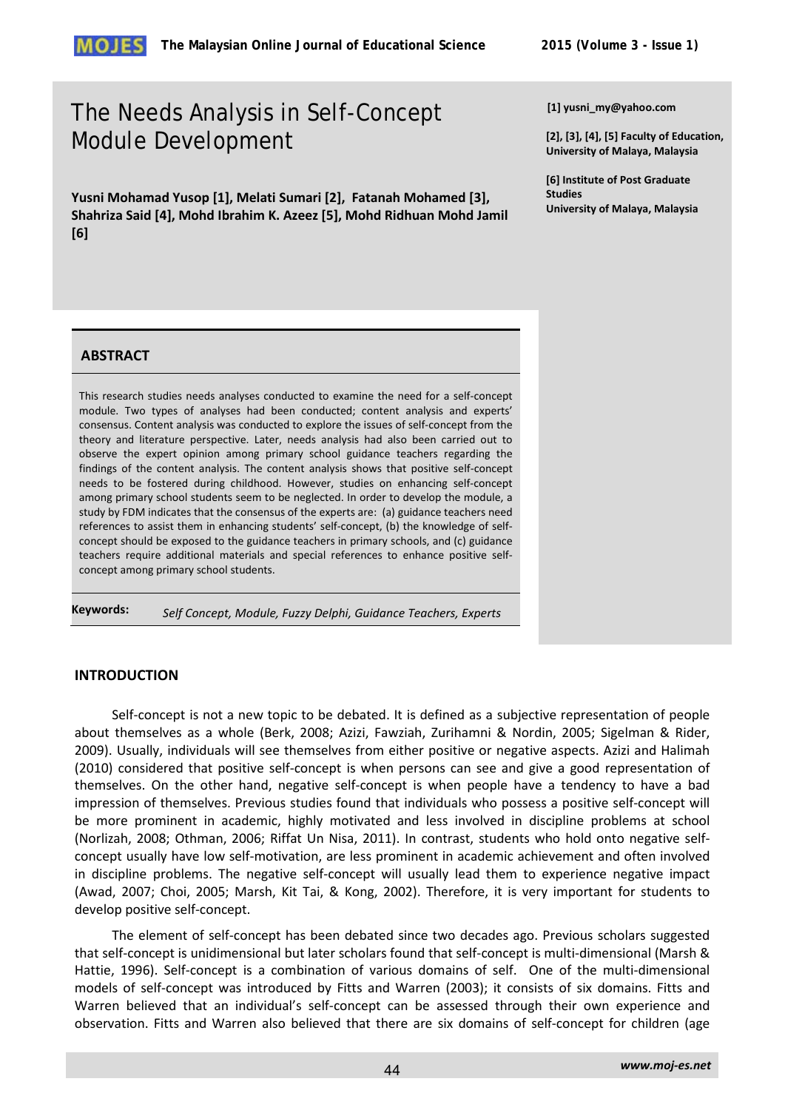

# The Needs Analysis in Self-Concept Module Development

**Yusni Mohamad Yusop [1], Melati Sumari [2], Fatanah Mohamed [3], Shahriza Said [4], Mohd Ibrahim K. Azeez [5], Mohd Ridhuan Mohd Jamil [6]** 

**[1] yusni\_my@yahoo.com**

**[2], [3], [4], [5] Faculty of Education, University of Malaya, Malaysia**

**[6] Institute of Post Graduate Studies University of Malaya, Malaysia**

#### **ABSTRACT**

This research studies needs analyses conducted to examine the need for a self-concept module. Two types of analyses had been conducted; content analysis and experts' consensus. Content analysis was conducted to explore the issues of self-concept from the theory and literature perspective. Later, needs analysis had also been carried out to observe the expert opinion among primary school guidance teachers regarding the findings of the content analysis. The content analysis shows that positive self-concept needs to be fostered during childhood. However, studies on enhancing self-concept among primary school students seem to be neglected. In order to develop the module, a study by FDM indicates that the consensus of the experts are: (a) guidance teachers need references to assist them in enhancing students' self-concept, (b) the knowledge of selfconcept should be exposed to the guidance teachers in primary schools, and (c) guidance teachers require additional materials and special references to enhance positive selfconcept among primary school students.

**Keywords:** *Self Concept, Module, Fuzzy Delphi, Guidance Teachers, Experts*

# **INTRODUCTION**

Self-concept is not a new topic to be debated. It is defined as a subjective representation of people about themselves as a whole (Berk, 2008; Azizi, Fawziah, Zurihamni & Nordin, 2005; Sigelman & Rider, 2009). Usually, individuals will see themselves from either positive or negative aspects. Azizi and Halimah (2010) considered that positive self-concept is when persons can see and give a good representation of themselves. On the other hand, negative self-concept is when people have a tendency to have a bad impression of themselves. Previous studies found that individuals who possess a positive self-concept will be more prominent in academic, highly motivated and less involved in discipline problems at school (Norlizah, 2008; Othman, 2006; Riffat Un Nisa, 2011). In contrast, students who hold onto negative selfconcept usually have low self-motivation, are less prominent in academic achievement and often involved in discipline problems. The negative self-concept will usually lead them to experience negative impact (Awad, 2007; Choi, 2005; Marsh, Kit Tai, & Kong, 2002). Therefore, it is very important for students to develop positive self-concept.

The element of self-concept has been debated since two decades ago. Previous scholars suggested that self-concept is unidimensional but later scholars found that self-concept is multi-dimensional (Marsh & Hattie, 1996). Self-concept is a combination of various domains of self. One of the multi-dimensional models of self-concept was introduced by Fitts and Warren (2003); it consists of six domains. Fitts and Warren believed that an individual's self-concept can be assessed through their own experience and observation. Fitts and Warren also believed that there are six domains of self-concept for children (age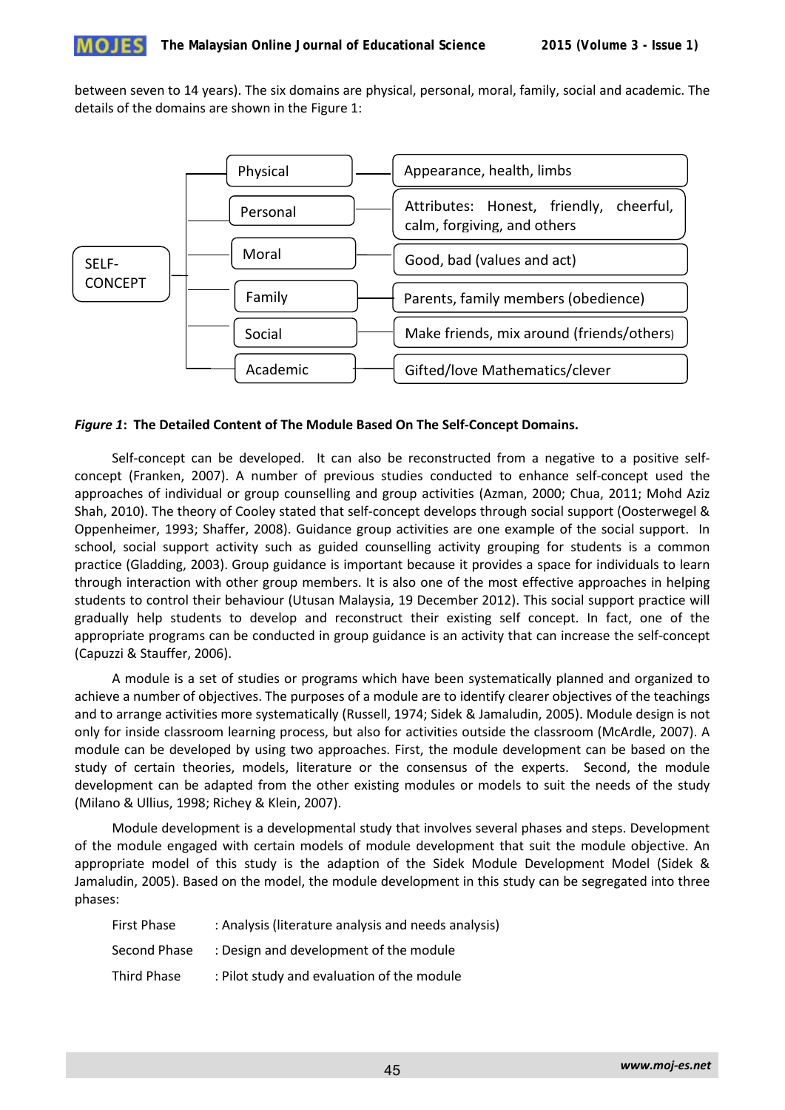

between seven to 14 years). The six domains are physical, personal, moral, family, social and academic. The details of the domains are shown in the Figure 1:



## *Figure 1***: The Detailed Content of The Module Based On The Self-Concept Domains.**

Self-concept can be developed. It can also be reconstructed from a negative to a positive selfconcept (Franken, 2007). A number of previous studies conducted to enhance self-concept used the approaches of individual or group counselling and group activities (Azman, 2000; Chua, 2011; Mohd Aziz Shah, 2010). The theory of Cooley stated that self-concept develops through social support (Oosterwegel & Oppenheimer, 1993; Shaffer, 2008). Guidance group activities are one example of the social support. In school, social support activity such as guided counselling activity grouping for students is a common practice (Gladding, 2003). Group guidance is important because it provides a space for individuals to learn through interaction with other group members. It is also one of the most effective approaches in helping students to control their behaviour (Utusan Malaysia, 19 December 2012). This social support practice will gradually help students to develop and reconstruct their existing self concept. In fact, one of the appropriate programs can be conducted in group guidance is an activity that can increase the self-concept (Capuzzi & Stauffer, 2006).

A module is a set of studies or programs which have been systematically planned and organized to achieve a number of objectives. The purposes of a module are to identify clearer objectives of the teachings and to arrange activities more systematically (Russell, 1974; Sidek & Jamaludin, 2005). Module design is not only for inside classroom learning process, but also for activities outside the classroom (McArdle, 2007). A module can be developed by using two approaches. First, the module development can be based on the study of certain theories, models, literature or the consensus of the experts. Second, the module development can be adapted from the other existing modules or models to suit the needs of the study (Milano & Ullius, 1998; Richey & Klein, 2007).

Module development is a developmental study that involves several phases and steps. Development of the module engaged with certain models of module development that suit the module objective. An appropriate model of this study is the adaption of the Sidek Module Development Model (Sidek & Jamaludin, 2005). Based on the model, the module development in this study can be segregated into three phases:

| <b>First Phase</b> | : Analysis (literature analysis and needs analysis) |
|--------------------|-----------------------------------------------------|
| Second Phase       | : Design and development of the module              |
| Third Phase        | : Pilot study and evaluation of the module          |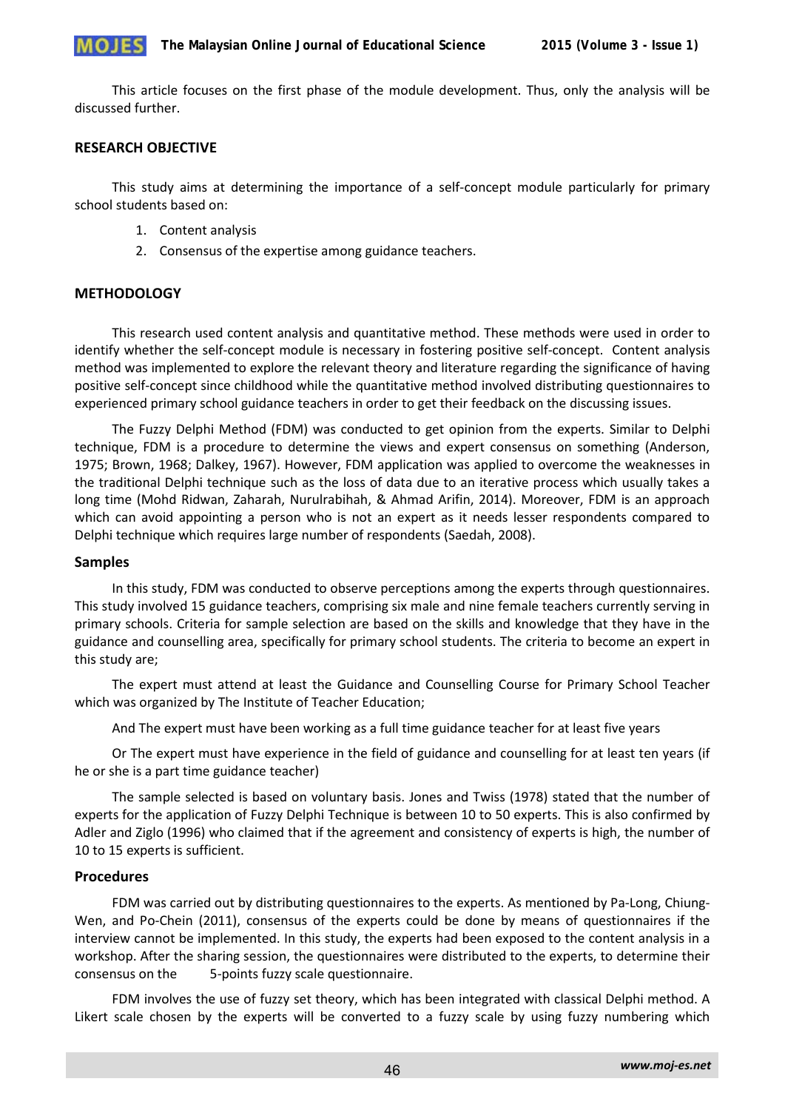This article focuses on the first phase of the module development. Thus, only the analysis will be discussed further.

# **RESEARCH OBJECTIVE**

This study aims at determining the importance of a self-concept module particularly for primary school students based on:

- 1. Content analysis
- 2. Consensus of the expertise among guidance teachers.

# **METHODOLOGY**

This research used content analysis and quantitative method. These methods were used in order to identify whether the self-concept module is necessary in fostering positive self-concept. Content analysis method was implemented to explore the relevant theory and literature regarding the significance of having positive self-concept since childhood while the quantitative method involved distributing questionnaires to experienced primary school guidance teachers in order to get their feedback on the discussing issues.

The Fuzzy Delphi Method (FDM) was conducted to get opinion from the experts. Similar to Delphi technique, FDM is a procedure to determine the views and expert consensus on something (Anderson, 1975; Brown, 1968; Dalkey, 1967). However, FDM application was applied to overcome the weaknesses in the traditional Delphi technique such as the loss of data due to an iterative process which usually takes a long time (Mohd Ridwan, Zaharah, Nurulrabihah, & Ahmad Arifin, 2014). Moreover, FDM is an approach which can avoid appointing a person who is not an expert as it needs lesser respondents compared to Delphi technique which requires large number of respondents (Saedah, 2008).

## **Samples**

In this study, FDM was conducted to observe perceptions among the experts through questionnaires. This study involved 15 guidance teachers, comprising six male and nine female teachers currently serving in primary schools. Criteria for sample selection are based on the skills and knowledge that they have in the guidance and counselling area, specifically for primary school students. The criteria to become an expert in this study are;

The expert must attend at least the Guidance and Counselling Course for Primary School Teacher which was organized by The Institute of Teacher Education;

And The expert must have been working as a full time guidance teacher for at least five years

Or The expert must have experience in the field of guidance and counselling for at least ten years (if he or she is a part time guidance teacher)

The sample selected is based on voluntary basis. Jones and Twiss (1978) stated that the number of experts for the application of Fuzzy Delphi Technique is between 10 to 50 experts. This is also confirmed by Adler and Ziglo (1996) who claimed that if the agreement and consistency of experts is high, the number of 10 to 15 experts is sufficient.

## **Procedures**

FDM was carried out by distributing questionnaires to the experts. As mentioned by Pa-Long, Chiung-Wen, and Po-Chein (2011), consensus of the experts could be done by means of questionnaires if the interview cannot be implemented. In this study, the experts had been exposed to the content analysis in a workshop. After the sharing session, the questionnaires were distributed to the experts, to determine their consensus on the 5-points fuzzy scale questionnaire.

FDM involves the use of fuzzy set theory, which has been integrated with classical Delphi method. A Likert scale chosen by the experts will be converted to a fuzzy scale by using fuzzy numbering which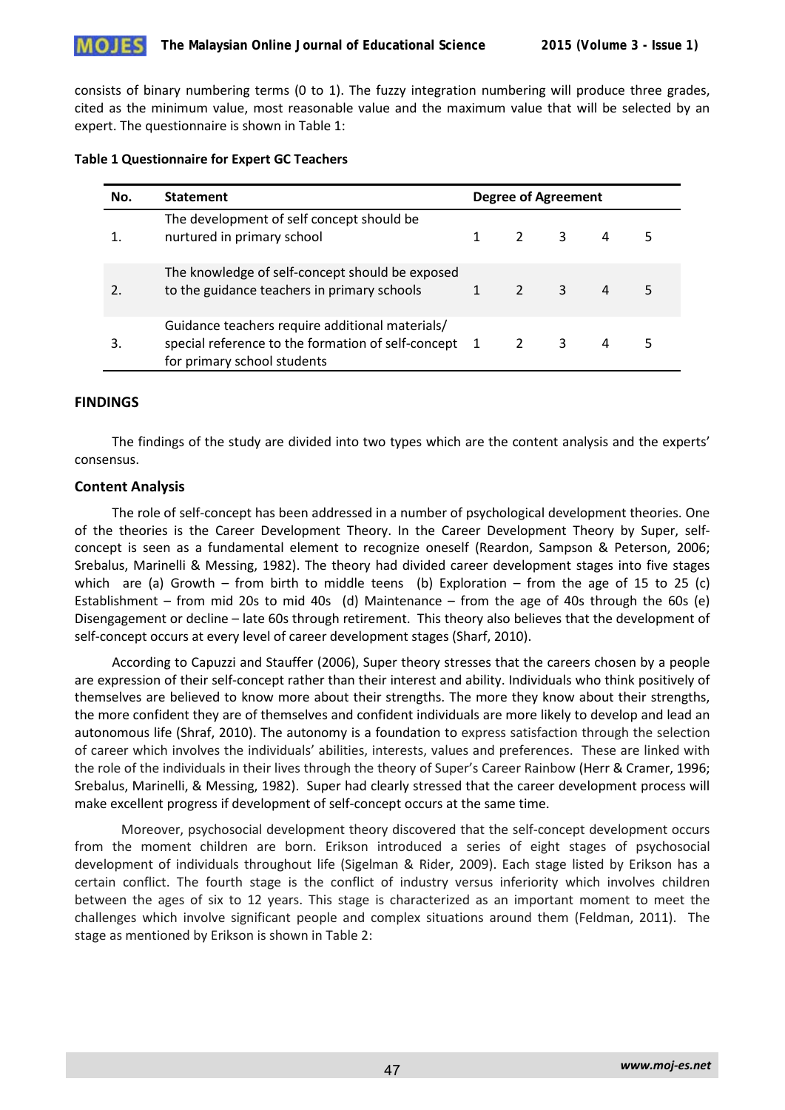

consists of binary numbering terms (0 to 1). The fuzzy integration numbering will produce three grades, cited as the minimum value, most reasonable value and the maximum value that will be selected by an expert. The questionnaire is shown in Table 1:

#### **Table 1 Questionnaire for Expert GC Teachers**

| No. | <b>Statement</b>                                                                                                                       | <b>Degree of Agreement</b> |  |                            |                |  |
|-----|----------------------------------------------------------------------------------------------------------------------------------------|----------------------------|--|----------------------------|----------------|--|
|     | The development of self concept should be<br>nurtured in primary school                                                                |                            |  | 3                          | 4              |  |
|     | The knowledge of self-concept should be exposed<br>to the guidance teachers in primary schools                                         |                            |  | $\overline{\phantom{a}}$ 3 | $\overline{a}$ |  |
| 3.  | Guidance teachers require additional materials/<br>special reference to the formation of self-concept 1<br>for primary school students |                            |  | 3                          | 4              |  |

## **FINDINGS**

The findings of the study are divided into two types which are the content analysis and the experts' consensus.

## **Content Analysis**

The role of self-concept has been addressed in a number of psychological development theories. One of the theories is the Career Development Theory. In the Career Development Theory by Super, selfconcept is seen as a fundamental element to recognize oneself (Reardon, Sampson & Peterson, 2006; Srebalus, Marinelli & Messing, 1982). The theory had divided career development stages into five stages which are (a) Growth – from birth to middle teens (b) Exploration – from the age of 15 to 25 (c) Establishment – from mid 20s to mid 40s (d) Maintenance – from the age of 40s through the 60s (e) Disengagement or decline – late 60s through retirement. This theory also believes that the development of self-concept occurs at every level of career development stages (Sharf, 2010).

According to Capuzzi and Stauffer (2006), Super theory stresses that the careers chosen by a people are expression of their self-concept rather than their interest and ability. Individuals who think positively of themselves are believed to know more about their strengths. The more they know about their strengths, the more confident they are of themselves and confident individuals are more likely to develop and lead an autonomous life (Shraf, 2010). The autonomy is a foundation to express satisfaction through the selection of career which involves the individuals' abilities, interests, values and preferences. These are linked with the role of the individuals in their lives through the theory of Super's Career Rainbow (Herr & Cramer, 1996; Srebalus, Marinelli, & Messing, 1982). Super had clearly stressed that the career development process will make excellent progress if development of self-concept occurs at the same time.

 Moreover, psychosocial development theory discovered that the self-concept development occurs from the moment children are born. Erikson introduced a series of eight stages of psychosocial development of individuals throughout life (Sigelman & Rider, 2009). Each stage listed by Erikson has a certain conflict. The fourth stage is the conflict of industry versus inferiority which involves children between the ages of six to 12 years. This stage is characterized as an important moment to meet the challenges which involve significant people and complex situations around them (Feldman, 2011). The stage as mentioned by Erikson is shown in Table 2: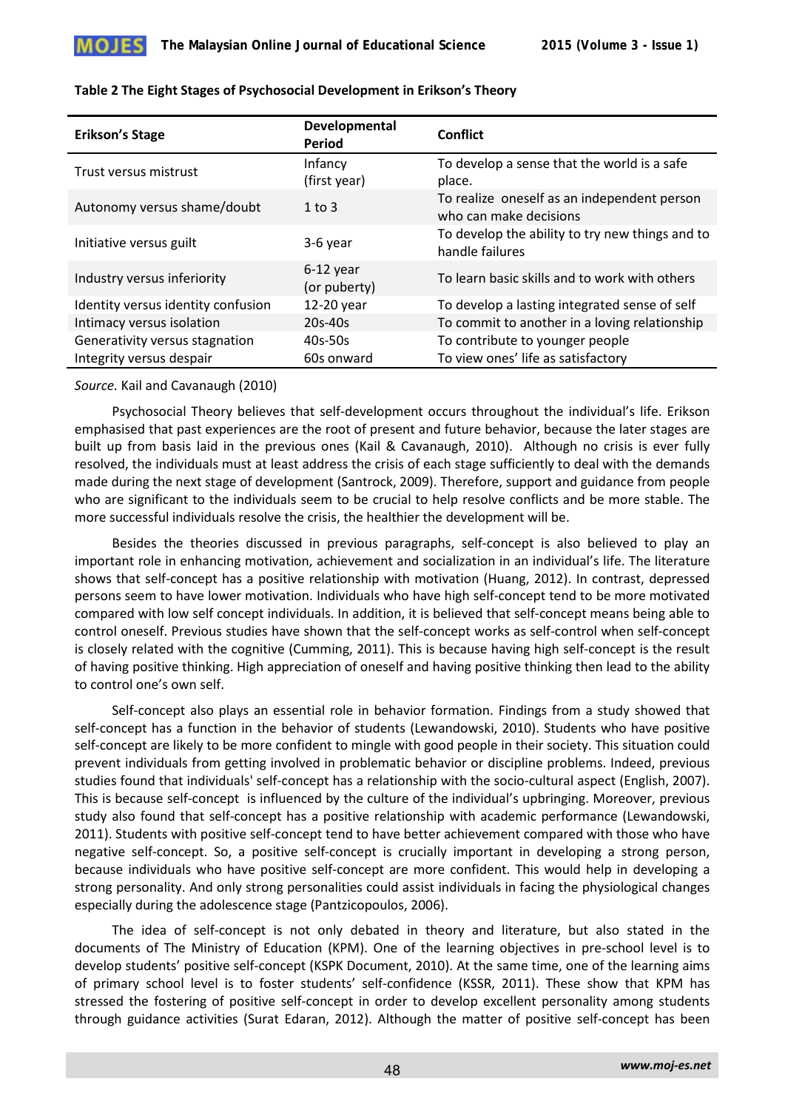

| <b>Erikson's Stage</b>             | Developmental<br>Period     | Conflict                                                              |
|------------------------------------|-----------------------------|-----------------------------------------------------------------------|
| Trust versus mistrust              | Infancy<br>(first year)     | To develop a sense that the world is a safe<br>place.                 |
| Autonomy versus shame/doubt        | $1$ to $3$                  | To realize oneself as an independent person<br>who can make decisions |
| Initiative versus guilt            | 3-6 year                    | To develop the ability to try new things and to<br>handle failures    |
| Industry versus inferiority        | $6-12$ year<br>(or puberty) | To learn basic skills and to work with others                         |
| Identity versus identity confusion | 12-20 year                  | To develop a lasting integrated sense of self                         |
| Intimacy versus isolation          | $20s-40s$                   | To commit to another in a loving relationship                         |
| Generativity versus stagnation     | 40s-50s                     | To contribute to younger people                                       |
| Integrity versus despair           | 60s onward                  | To view ones' life as satisfactory                                    |

#### **Table 2 The Eight Stages of Psychosocial Development in Erikson's Theory**

#### *Source.* Kail and Cavanaugh (2010)

Psychosocial Theory believes that self-development occurs throughout the individual's life. Erikson emphasised that past experiences are the root of present and future behavior, because the later stages are built up from basis laid in the previous ones (Kail & Cavanaugh, 2010). Although no crisis is ever fully resolved, the individuals must at least address the crisis of each stage sufficiently to deal with the demands made during the next stage of development (Santrock, 2009). Therefore, support and guidance from people who are significant to the individuals seem to be crucial to help resolve conflicts and be more stable. The more successful individuals resolve the crisis, the healthier the development will be.

Besides the theories discussed in previous paragraphs, self-concept is also believed to play an important role in enhancing motivation, achievement and socialization in an individual's life. The literature shows that self-concept has a positive relationship with motivation (Huang, 2012). In contrast, depressed persons seem to have lower motivation. Individuals who have high self-concept tend to be more motivated compared with low self concept individuals. In addition, it is believed that self-concept means being able to control oneself. Previous studies have shown that the self-concept works as self-control when self-concept is closely related with the cognitive (Cumming, 2011). This is because having high self-concept is the result of having positive thinking. High appreciation of oneself and having positive thinking then lead to the ability to control one's own self.

Self-concept also plays an essential role in behavior formation. Findings from a study showed that self-concept has a function in the behavior of students (Lewandowski, 2010). Students who have positive self-concept are likely to be more confident to mingle with good people in their society. This situation could prevent individuals from getting involved in problematic behavior or discipline problems. Indeed, previous studies found that individuals' self-concept has a relationship with the socio-cultural aspect (English, 2007). This is because self-concept is influenced by the culture of the individual's upbringing. Moreover, previous study also found that self-concept has a positive relationship with academic performance (Lewandowski, 2011). Students with positive self-concept tend to have better achievement compared with those who have negative self-concept. So, a positive self-concept is crucially important in developing a strong person, because individuals who have positive self-concept are more confident. This would help in developing a strong personality. And only strong personalities could assist individuals in facing the physiological changes especially during the adolescence stage (Pantzicopoulos, 2006).

The idea of self-concept is not only debated in theory and literature, but also stated in the documents of The Ministry of Education (KPM). One of the learning objectives in pre-school level is to develop students' positive self-concept (KSPK Document, 2010). At the same time, one of the learning aims of primary school level is to foster students' self-confidence (KSSR, 2011). These show that KPM has stressed the fostering of positive self-concept in order to develop excellent personality among students through guidance activities (Surat Edaran, 2012). Although the matter of positive self-concept has been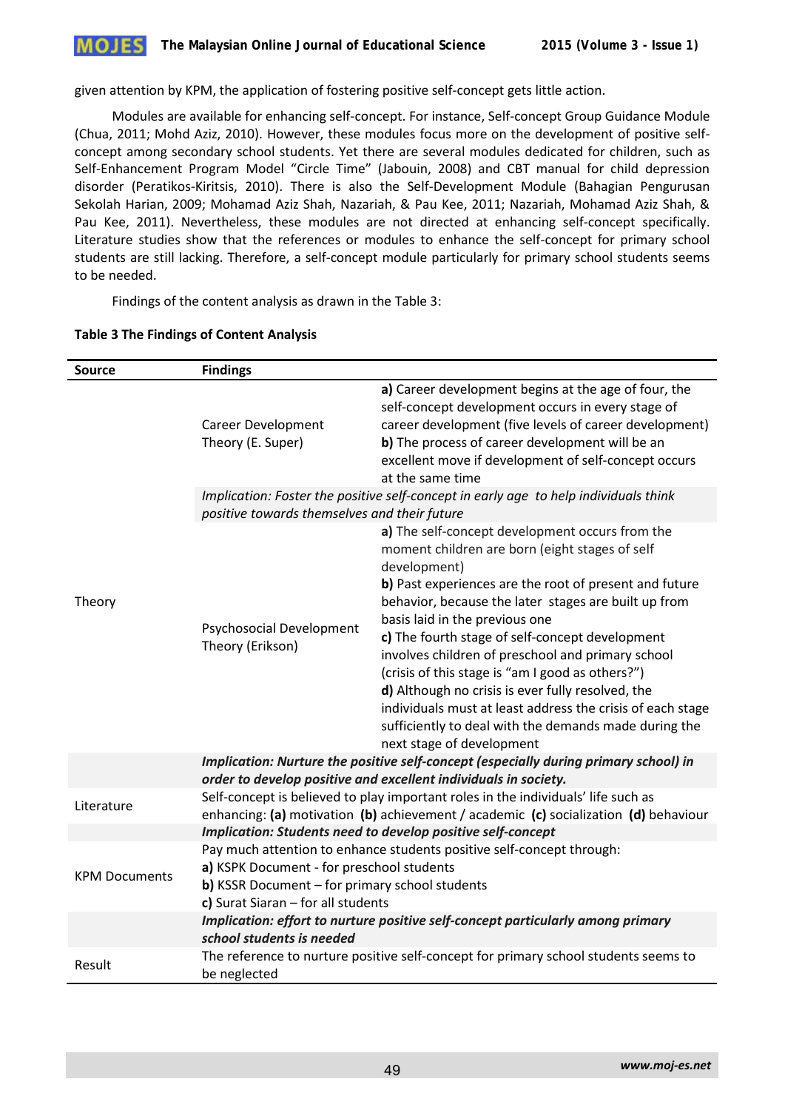

given attention by KPM, the application of fostering positive self-concept gets little action.

Modules are available for enhancing self-concept. For instance, Self-concept Group Guidance Module (Chua, 2011; Mohd Aziz, 2010). However, these modules focus more on the development of positive selfconcept among secondary school students. Yet there are several modules dedicated for children, such as Self-Enhancement Program Model "Circle Time" (Jabouin, 2008) and CBT manual for child depression disorder (Peratikos-Kiritsis, 2010). There is also the Self-Development Module (Bahagian Pengurusan Sekolah Harian, 2009; Mohamad Aziz Shah, Nazariah, & Pau Kee, 2011; Nazariah, Mohamad Aziz Shah, & Pau Kee, 2011). Nevertheless, these modules are not directed at enhancing self-concept specifically. Literature studies show that the references or modules to enhance the self-concept for primary school students are still lacking. Therefore, a self-concept module particularly for primary school students seems to be needed.

Findings of the content analysis as drawn in the Table 3:

| Source               | <b>Findings</b>                                                                                                                                                                                                                                                             |                                                                                                                                                                                                                                                                                                                                                                                                                                                                                                                                                                                                                                            |  |  |
|----------------------|-----------------------------------------------------------------------------------------------------------------------------------------------------------------------------------------------------------------------------------------------------------------------------|--------------------------------------------------------------------------------------------------------------------------------------------------------------------------------------------------------------------------------------------------------------------------------------------------------------------------------------------------------------------------------------------------------------------------------------------------------------------------------------------------------------------------------------------------------------------------------------------------------------------------------------------|--|--|
|                      | <b>Career Development</b><br>Theory (E. Super)                                                                                                                                                                                                                              | a) Career development begins at the age of four, the<br>self-concept development occurs in every stage of<br>career development (five levels of career development)<br>b) The process of career development will be an<br>excellent move if development of self-concept occurs<br>at the same time                                                                                                                                                                                                                                                                                                                                         |  |  |
|                      | Implication: Foster the positive self-concept in early age to help individuals think<br>positive towards themselves and their future                                                                                                                                        |                                                                                                                                                                                                                                                                                                                                                                                                                                                                                                                                                                                                                                            |  |  |
| Theory               | <b>Psychosocial Development</b><br>Theory (Erikson)                                                                                                                                                                                                                         | a) The self-concept development occurs from the<br>moment children are born (eight stages of self<br>development)<br>b) Past experiences are the root of present and future<br>behavior, because the later stages are built up from<br>basis laid in the previous one<br>c) The fourth stage of self-concept development<br>involves children of preschool and primary school<br>(crisis of this stage is "am I good as others?")<br>d) Although no crisis is ever fully resolved, the<br>individuals must at least address the crisis of each stage<br>sufficiently to deal with the demands made during the<br>next stage of development |  |  |
|                      | Implication: Nurture the positive self-concept (especially during primary school) in<br>order to develop positive and excellent individuals in society.                                                                                                                     |                                                                                                                                                                                                                                                                                                                                                                                                                                                                                                                                                                                                                                            |  |  |
| Literature           | Self-concept is believed to play important roles in the individuals' life such as<br>enhancing: (a) motivation (b) achievement / academic (c) socialization (d) behaviour                                                                                                   |                                                                                                                                                                                                                                                                                                                                                                                                                                                                                                                                                                                                                                            |  |  |
| <b>KPM Documents</b> | Implication: Students need to develop positive self-concept<br>Pay much attention to enhance students positive self-concept through:<br>a) KSPK Document - for preschool students<br>b) KSSR Document - for primary school students<br>c) Surat Siaran $-$ for all students |                                                                                                                                                                                                                                                                                                                                                                                                                                                                                                                                                                                                                                            |  |  |
|                      | Implication: effort to nurture positive self-concept particularly among primary<br>school students is needed                                                                                                                                                                |                                                                                                                                                                                                                                                                                                                                                                                                                                                                                                                                                                                                                                            |  |  |
| Result               | be neglected                                                                                                                                                                                                                                                                | The reference to nurture positive self-concept for primary school students seems to                                                                                                                                                                                                                                                                                                                                                                                                                                                                                                                                                        |  |  |

## **Table 3 The Findings of Content Analysis**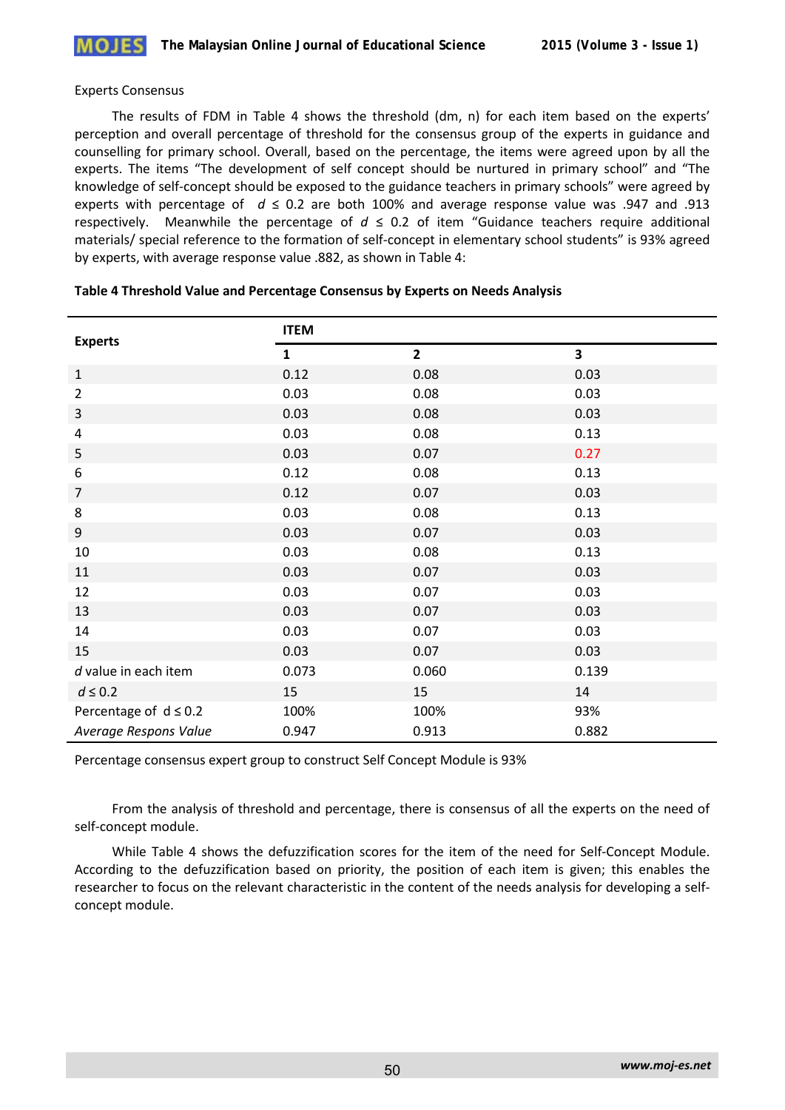

#### Experts Consensus

The results of FDM in Table 4 shows the threshold (dm, n) for each item based on the experts' perception and overall percentage of threshold for the consensus group of the experts in guidance and counselling for primary school. Overall, based on the percentage, the items were agreed upon by all the experts. The items "The development of self concept should be nurtured in primary school" and "The knowledge of self-concept should be exposed to the guidance teachers in primary schools" were agreed by experts with percentage of  $d \le 0.2$  are both 100% and average response value was .947 and .913 respectively. Meanwhile the percentage of  $d \le 0.2$  of item "Guidance teachers require additional materials/ special reference to the formation of self-concept in elementary school students" is 93% agreed by experts, with average response value .882, as shown in Table 4:

| <b>Experts</b>             | <b>ITEM</b>  |                |       |
|----------------------------|--------------|----------------|-------|
|                            | $\mathbf{1}$ | $\overline{2}$ | 3     |
| $1\,$                      | 0.12         | 0.08           | 0.03  |
| $\overline{2}$             | 0.03         | 0.08           | 0.03  |
| $\mathbf{3}$               | 0.03         | 0.08           | 0.03  |
| $\overline{4}$             | 0.03         | 0.08           | 0.13  |
| 5                          | 0.03         | 0.07           | 0.27  |
| 6                          | 0.12         | 0.08           | 0.13  |
| $\overline{7}$             | 0.12         | 0.07           | 0.03  |
| 8                          | 0.03         | 0.08           | 0.13  |
| 9                          | 0.03         | 0.07           | 0.03  |
| 10                         | 0.03         | 0.08           | 0.13  |
| 11                         | 0.03         | 0.07           | 0.03  |
| 12                         | 0.03         | 0.07           | 0.03  |
| 13                         | 0.03         | 0.07           | 0.03  |
| 14                         | 0.03         | 0.07           | 0.03  |
| 15                         | 0.03         | 0.07           | 0.03  |
| $d$ value in each item     | 0.073        | 0.060          | 0.139 |
| $d\leq 0.2$                | 15           | 15             | 14    |
| Percentage of $d \leq 0.2$ | 100%         | 100%           | 93%   |
| Average Respons Value      | 0.947        | 0.913          | 0.882 |

#### **Table 4 Threshold Value and Percentage Consensus by Experts on Needs Analysis**

Percentage consensus expert group to construct Self Concept Module is 93%

From the analysis of threshold and percentage, there is consensus of all the experts on the need of self-concept module.

While Table 4 shows the defuzzification scores for the item of the need for Self-Concept Module. According to the defuzzification based on priority, the position of each item is given; this enables the researcher to focus on the relevant characteristic in the content of the needs analysis for developing a selfconcept module.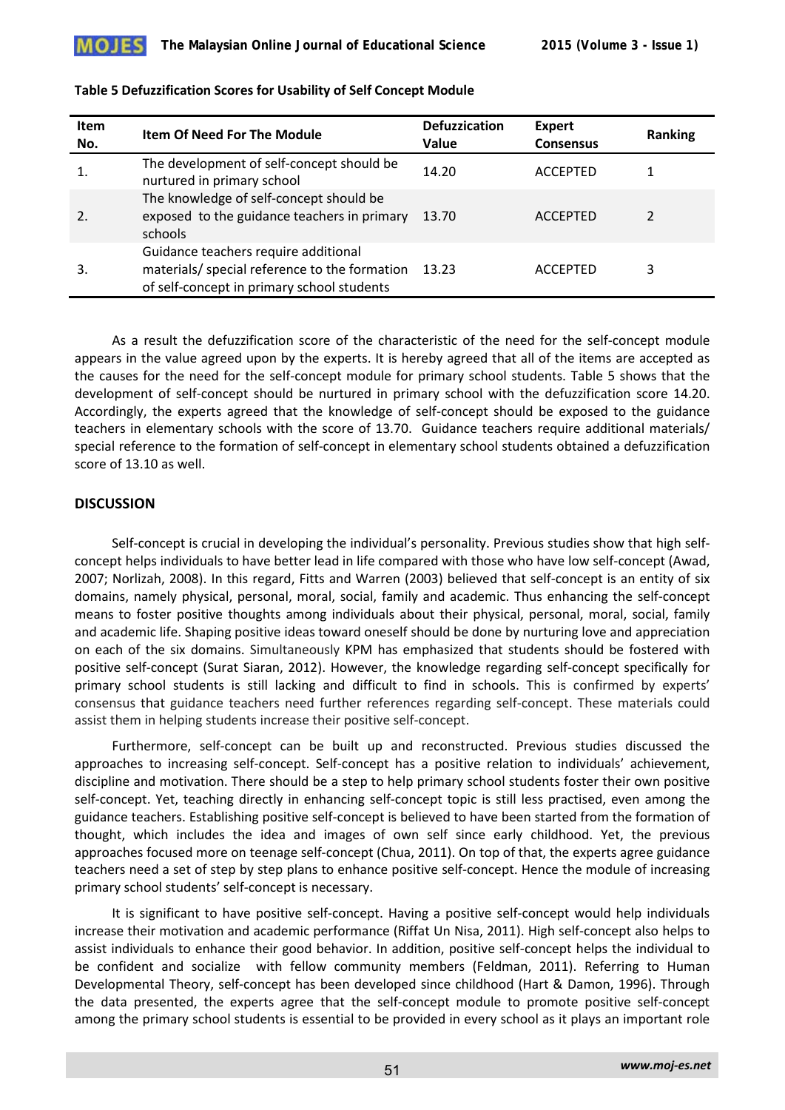

| <b>Item</b><br>No. | <b>Item Of Need For The Module</b>                                                                                                  | <b>Defuzzication</b><br>Value | <b>Expert</b><br><b>Consensus</b> | Ranking |
|--------------------|-------------------------------------------------------------------------------------------------------------------------------------|-------------------------------|-----------------------------------|---------|
|                    | The development of self-concept should be<br>nurtured in primary school                                                             | 14.20                         | <b>ACCEPTED</b>                   |         |
| 2.                 | The knowledge of self-concept should be<br>exposed to the guidance teachers in primary<br>schools                                   | 13.70                         | <b>ACCEPTED</b>                   |         |
| 3.                 | Guidance teachers require additional<br>materials/ special reference to the formation<br>of self-concept in primary school students | 13.23                         | <b>ACCEPTED</b>                   | 3       |

## **Table 5 Defuzzification Scores for Usability of Self Concept Module**

As a result the defuzzification score of the characteristic of the need for the self-concept module appears in the value agreed upon by the experts. It is hereby agreed that all of the items are accepted as the causes for the need for the self-concept module for primary school students. Table 5 shows that the development of self-concept should be nurtured in primary school with the defuzzification score 14.20. Accordingly, the experts agreed that the knowledge of self-concept should be exposed to the guidance teachers in elementary schools with the score of 13.70. Guidance teachers require additional materials/ special reference to the formation of self-concept in elementary school students obtained a defuzzification score of 13.10 as well.

# **DISCUSSION**

Self-concept is crucial in developing the individual's personality. Previous studies show that high selfconcept helps individuals to have better lead in life compared with those who have low self-concept (Awad, 2007; Norlizah, 2008). In this regard, Fitts and Warren (2003) believed that self-concept is an entity of six domains, namely physical, personal, moral, social, family and academic. Thus enhancing the self-concept means to foster positive thoughts among individuals about their physical, personal, moral, social, family and academic life. Shaping positive ideas toward oneself should be done by nurturing love and appreciation on each of the six domains. Simultaneously KPM has emphasized that students should be fostered with positive self-concept (Surat Siaran, 2012). However, the knowledge regarding self-concept specifically for primary school students is still lacking and difficult to find in schools. This is confirmed by experts' consensus that guidance teachers need further references regarding self-concept. These materials could assist them in helping students increase their positive self-concept.

Furthermore, self-concept can be built up and reconstructed. Previous studies discussed the approaches to increasing self-concept. Self-concept has a positive relation to individuals' achievement, discipline and motivation. There should be a step to help primary school students foster their own positive self-concept. Yet, teaching directly in enhancing self-concept topic is still less practised, even among the guidance teachers. Establishing positive self-concept is believed to have been started from the formation of thought, which includes the idea and images of own self since early childhood. Yet, the previous approaches focused more on teenage self-concept (Chua, 2011). On top of that, the experts agree guidance teachers need a set of step by step plans to enhance positive self-concept. Hence the module of increasing primary school students' self-concept is necessary.

It is significant to have positive self-concept. Having a positive self-concept would help individuals increase their motivation and academic performance (Riffat Un Nisa, 2011). High self-concept also helps to assist individuals to enhance their good behavior. In addition, positive self-concept helps the individual to be confident and socialize with fellow community members (Feldman, 2011). Referring to Human Developmental Theory, self-concept has been developed since childhood (Hart & Damon, 1996). Through the data presented, the experts agree that the self-concept module to promote positive self-concept among the primary school students is essential to be provided in every school as it plays an important role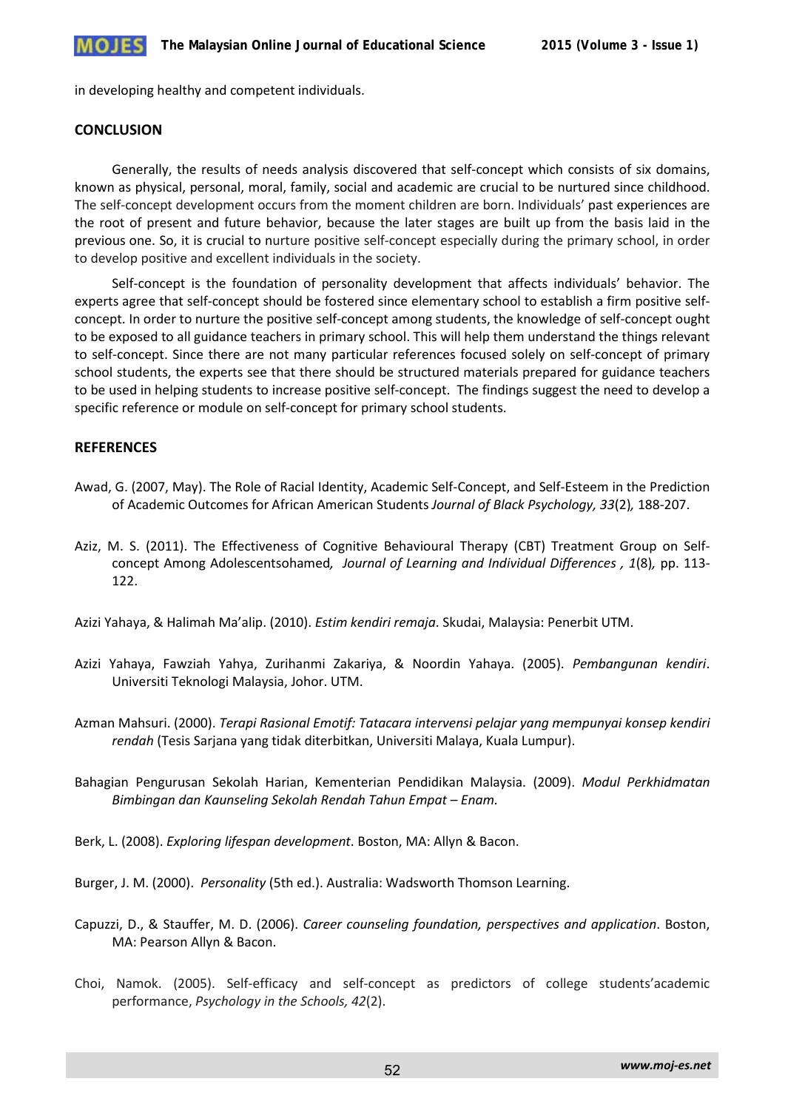

in developing healthy and competent individuals.

## **CONCLUSION**

Generally, the results of needs analysis discovered that self-concept which consists of six domains, known as physical, personal, moral, family, social and academic are crucial to be nurtured since childhood. The self-concept development occurs from the moment children are born. Individuals' past experiences are the root of present and future behavior, because the later stages are built up from the basis laid in the previous one. So, it is crucial to nurture positive self-concept especially during the primary school, in order to develop positive and excellent individuals in the society.

Self-concept is the foundation of personality development that affects individuals' behavior. The experts agree that self-concept should be fostered since elementary school to establish a firm positive selfconcept. In order to nurture the positive self-concept among students, the knowledge of self-concept ought to be exposed to all guidance teachers in primary school. This will help them understand the things relevant to self-concept. Since there are not many particular references focused solely on self-concept of primary school students, the experts see that there should be structured materials prepared for guidance teachers to be used in helping students to increase positive self-concept. The findings suggest the need to develop a specific reference or module on self-concept for primary school students.

# **REFERENCES**

- Awad, G. (2007, May). The Role of Racial Identity, Academic Self-Concept, and Self-Esteem in the Prediction of Academic Outcomes for African American Students *Journal of Black Psychology, 33*(2)*,* 188-207.
- Aziz, M. S. (2011). The Effectiveness of Cognitive Behavioural Therapy (CBT) Treatment Group on Selfconcept Among Adolescentsohamed*, Journal of Learning and Individual Differences , 1*(8)*,* pp. 113- 122.

Azizi Yahaya, & Halimah Ma'alip. (2010). *Estim kendiri remaja*. Skudai, Malaysia: Penerbit UTM.

- Azizi Yahaya, Fawziah Yahya, Zurihanmi Zakariya, & Noordin Yahaya. (2005). *Pembangunan kendiri*. Universiti Teknologi Malaysia, Johor. UTM.
- Azman Mahsuri. (2000). *Terapi Rasional Emotif: Tatacara intervensi pelajar yang mempunyai konsep kendiri rendah* (Tesis Sarjana yang tidak diterbitkan, Universiti Malaya, Kuala Lumpur).
- Bahagian Pengurusan Sekolah Harian, Kementerian Pendidikan Malaysia. (2009). *Modul Perkhidmatan Bimbingan dan Kaunseling Sekolah Rendah Tahun Empat – Enam.*
- Berk, L. (2008). *Exploring lifespan development*. Boston, MA: Allyn & Bacon.

Burger, J. M. (2000). *Personality* (5th ed.). Australia: Wadsworth Thomson Learning.

- Capuzzi, D., & Stauffer, M. D. (2006). *Career counseling foundation, perspectives and application*. Boston, MA: Pearson Allyn & Bacon.
- Choi, Namok. (2005). Self-efficacy and self-concept as predictors of college students'academic performance, *Psychology in the Schools, 42*(2).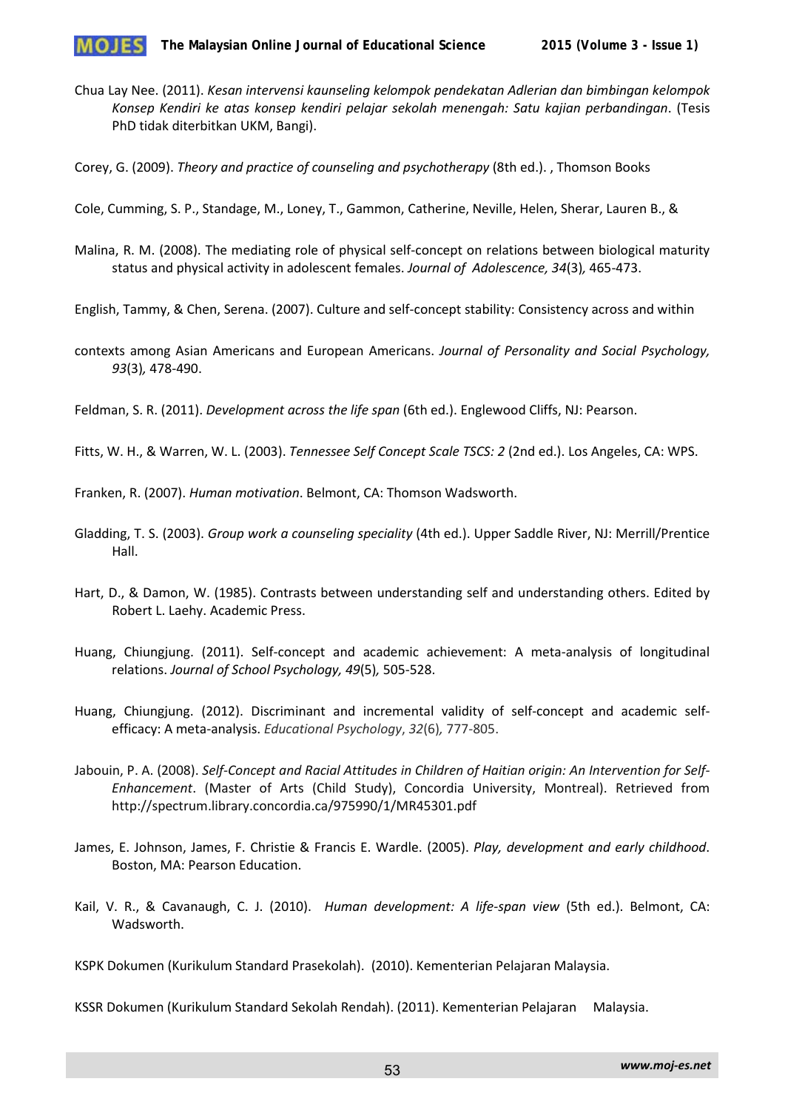

- Chua Lay Nee. (2011). *Kesan intervensi kaunseling kelompok pendekatan Adlerian dan bimbingan kelompok Konsep Kendiri ke atas konsep kendiri pelajar sekolah menengah: Satu kajian perbandingan*. (Tesis PhD tidak diterbitkan UKM, Bangi).
- Corey, G. (2009). *Theory and practice of counseling and psychotherapy* (8th ed.). , Thomson Books
- Cole, Cumming, S. P., Standage, M., Loney, T., Gammon, Catherine, Neville, Helen, Sherar, Lauren B., &
- Malina, R. M. (2008). The mediating role of physical self-concept on relations between biological maturity status and physical activity in adolescent females. *Journal of Adolescence, 34*(3)*,* 465-473.
- English, Tammy, & Chen, Serena. (2007). Culture and self-concept stability: Consistency across and within
- contexts among Asian Americans and European Americans. *Journal of Personality and Social Psychology, 93*(3)*,* 478-490.
- Feldman, S. R. (2011). *Development across the life span* (6th ed.). Englewood Cliffs, NJ: Pearson.
- Fitts, W. H., & Warren, W. L. (2003). *Tennessee Self Concept Scale TSCS: 2* (2nd ed.). Los Angeles, CA: WPS.
- Franken, R. (2007). *Human motivation*. Belmont, CA: Thomson Wadsworth.
- Gladding, T. S. (2003). *Group work a counseling speciality* (4th ed.). Upper Saddle River, NJ: Merrill/Prentice Hall.
- Hart, D., & Damon, W. (1985). Contrasts between understanding self and understanding others. Edited by Robert L. Laehy. Academic Press.
- Huang, Chiungjung. (2011). Self-concept and academic achievement: A meta-analysis of longitudinal relations. *Journal of School Psychology, 49*(5)*,* 505-528.
- Huang, Chiungjung. (2012). Discriminant and incremental validity of self-concept and academic selfefficacy: A meta-analysis. *Educational Psychology*, *32*(6)*,* 777-805.
- Jabouin, P. A. (2008). *Self-Concept and Racial Attitudes in Children of Haitian origin: An Intervention for Self-Enhancement*. (Master of Arts (Child Study), Concordia University, Montreal). Retrieved from http://spectrum.library.concordia.ca/975990/1/MR45301.pdf
- James, E. Johnson, James, F. Christie & Francis E. Wardle. (2005). *Play, development and early childhood*. Boston, MA: Pearson Education.
- Kail, V. R., & Cavanaugh, C. J. (2010). *Human development: A life-span view* (5th ed.). Belmont, CA: Wadsworth.

KSPK Dokumen (Kurikulum Standard Prasekolah). (2010). Kementerian Pelajaran Malaysia.

KSSR Dokumen (Kurikulum Standard Sekolah Rendah). (2011). Kementerian Pelajaran Malaysia.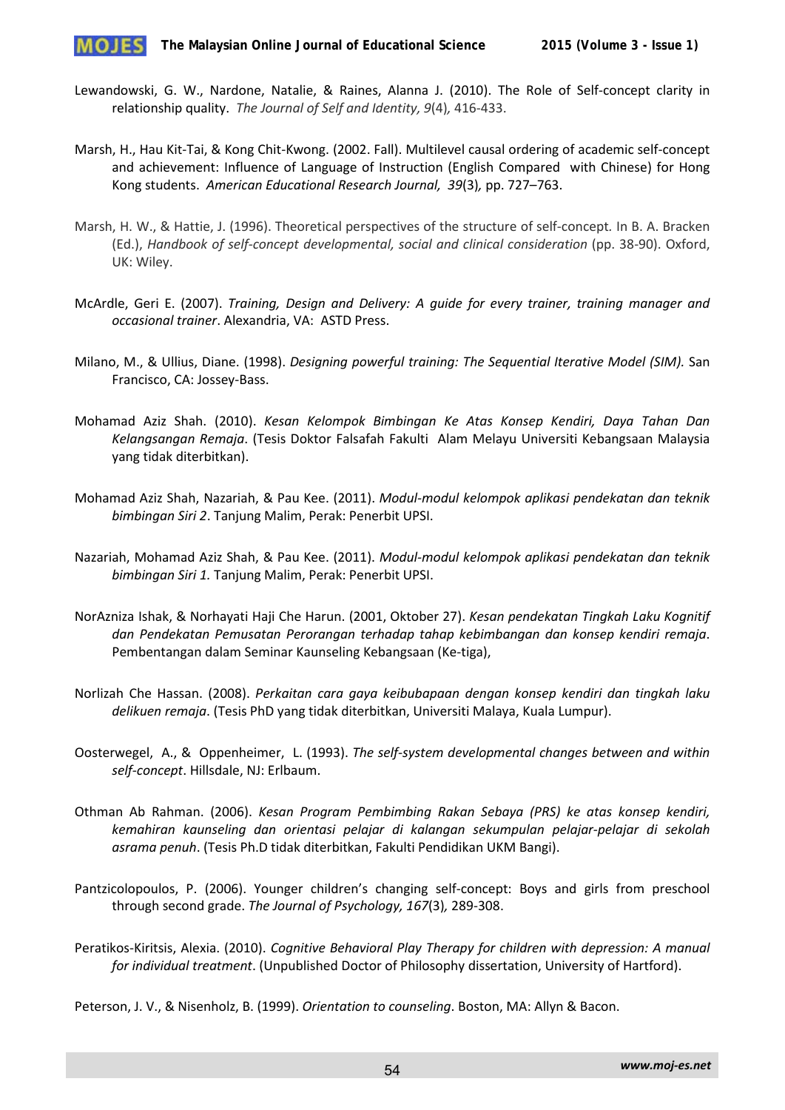

- Lewandowski, G. W., Nardone, Natalie, & Raines, Alanna J. (2010). The Role of Self-concept clarity in relationship quality. *The Journal of Self and Identity, 9*(4)*,* 416-433.
- Marsh, H., Hau Kit-Tai, & Kong Chit-Kwong. (2002. Fall). Multilevel causal ordering of academic self-concept and achievement: Influence of Language of Instruction (English Compared with Chinese) for Hong Kong students. *American Educational Research Journal, 39*(3)*,* pp. 727–763.
- Marsh, H. W., & Hattie, J. (1996). Theoretical perspectives of the structure of self-concept*.* In B. A. Bracken (Ed.), *Handbook of self-concept developmental, social and clinical consideration* (pp. 38-90). Oxford, UK: Wiley.
- McArdle, Geri E. (2007). *Training, Design and Delivery: A guide for every trainer, training manager and occasional trainer*. Alexandria, VA: ASTD Press.
- Milano, M., & Ullius, Diane. (1998). *Designing powerful training: The Sequential Iterative Model (SIM).* San Francisco, CA: Jossey-Bass.
- Mohamad Aziz Shah. (2010). *Kesan Kelompok Bimbingan Ke Atas Konsep Kendiri, Daya Tahan Dan Kelangsangan Remaja*. (Tesis Doktor Falsafah Fakulti Alam Melayu Universiti Kebangsaan Malaysia yang tidak diterbitkan).
- Mohamad Aziz Shah, Nazariah, & Pau Kee. (2011). *Modul-modul kelompok aplikasi pendekatan dan teknik bimbingan Siri 2*. Tanjung Malim, Perak: Penerbit UPSI.
- Nazariah, Mohamad Aziz Shah, & Pau Kee. (2011). *Modul-modul kelompok aplikasi pendekatan dan teknik bimbingan Siri 1.* Tanjung Malim, Perak: Penerbit UPSI.
- NorAzniza Ishak, & Norhayati Haji Che Harun. (2001, Oktober 27). *Kesan pendekatan Tingkah Laku Kognitif dan Pendekatan Pemusatan Perorangan terhadap tahap kebimbangan dan konsep kendiri remaja*. Pembentangan dalam Seminar Kaunseling Kebangsaan (Ke-tiga),
- Norlizah Che Hassan. (2008). *Perkaitan cara gaya keibubapaan dengan konsep kendiri dan tingkah laku delikuen remaja*. (Tesis PhD yang tidak diterbitkan, Universiti Malaya, Kuala Lumpur).
- Oosterwegel, A., & Oppenheimer, L. (1993). *The self-system developmental changes between and within self-concept*. Hillsdale, NJ: Erlbaum.
- Othman Ab Rahman. (2006). *Kesan Program Pembimbing Rakan Sebaya (PRS) ke atas konsep kendiri, kemahiran kaunseling dan orientasi pelajar di kalangan sekumpulan pelajar-pelajar di sekolah asrama penuh*. (Tesis Ph.D tidak diterbitkan, Fakulti Pendidikan UKM Bangi).
- Pantzicolopoulos, P. (2006). Younger children's changing self-concept: Boys and girls from preschool through second grade. *The Journal of Psychology, 167*(3)*,* 289-308.
- Peratikos-Kiritsis, Alexia. (2010). *Cognitive Behavioral Play Therapy for children with depression: A manual for individual treatment*. (Unpublished Doctor of Philosophy dissertation, University of Hartford).

Peterson, J. V., & Nisenholz, B. (1999). *Orientation to counseling*. Boston, MA: Allyn & Bacon.